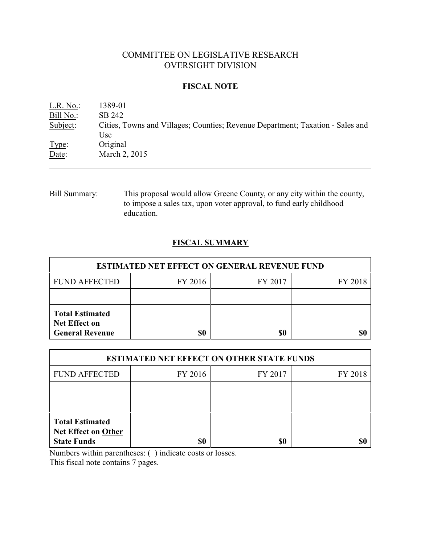# COMMITTEE ON LEGISLATIVE RESEARCH OVERSIGHT DIVISION

#### **FISCAL NOTE**

| $L.R. No.$ : | 1389-01                                                                        |
|--------------|--------------------------------------------------------------------------------|
| Bill No.:    | SB 242                                                                         |
| Subject:     | Cities, Towns and Villages; Counties; Revenue Department; Taxation - Sales and |
|              | Use                                                                            |
| Type:        | Original                                                                       |
| Date:        | March 2, 2015                                                                  |
|              |                                                                                |

Bill Summary: This proposal would allow Greene County, or any city within the county, to impose a sales tax, upon voter approval, to fund early childhood education.

# **FISCAL SUMMARY**

| <b>ESTIMATED NET EFFECT ON GENERAL REVENUE FUND</b>                      |         |         |         |  |  |
|--------------------------------------------------------------------------|---------|---------|---------|--|--|
| <b>FUND AFFECTED</b>                                                     | FY 2016 | FY 2017 | FY 2018 |  |  |
|                                                                          |         |         |         |  |  |
| <b>Total Estimated</b><br><b>Net Effect on</b><br><b>General Revenue</b> | \$0     | \$0     |         |  |  |

| <b>ESTIMATED NET EFFECT ON OTHER STATE FUNDS</b>                           |         |         |         |  |
|----------------------------------------------------------------------------|---------|---------|---------|--|
| <b>FUND AFFECTED</b>                                                       | FY 2016 | FY 2017 | FY 2018 |  |
|                                                                            |         |         |         |  |
|                                                                            |         |         |         |  |
| <b>Total Estimated</b><br><b>Net Effect on Other</b><br><b>State Funds</b> | \$0     | \$0     |         |  |

Numbers within parentheses: ( ) indicate costs or losses.

This fiscal note contains 7 pages.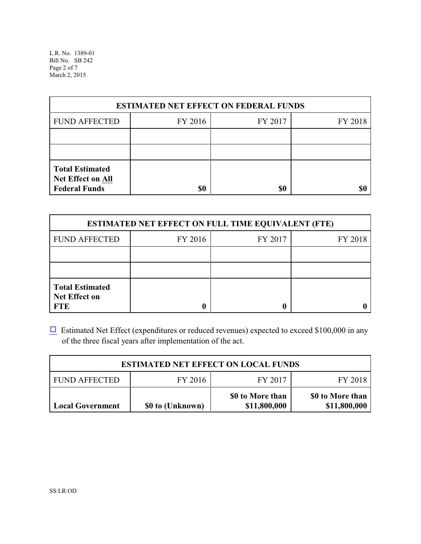L.R. No. 1389-01 Bill No. SB 242 Page 2 of 7 March 2, 2015

| <b>ESTIMATED NET EFFECT ON FEDERAL FUNDS</b>                        |         |         |         |  |
|---------------------------------------------------------------------|---------|---------|---------|--|
| <b>FUND AFFECTED</b>                                                | FY 2016 | FY 2017 | FY 2018 |  |
|                                                                     |         |         |         |  |
|                                                                     |         |         |         |  |
| <b>Total Estimated</b><br>Net Effect on All<br><b>Federal Funds</b> | \$0     | \$0     |         |  |

| <b>ESTIMATED NET EFFECT ON FULL TIME EQUIVALENT (FTE)</b>    |         |         |         |  |  |
|--------------------------------------------------------------|---------|---------|---------|--|--|
| <b>FUND AFFECTED</b>                                         | FY 2016 | FY 2017 | FY 2018 |  |  |
|                                                              |         |         |         |  |  |
|                                                              |         |         |         |  |  |
| <b>Total Estimated</b><br><b>Net Effect on</b><br><b>FTE</b> |         |         |         |  |  |

 $\Box$  Estimated Net Effect (expenditures or reduced revenues) expected to exceed \$100,000 in any of the three fiscal years after implementation of the act.

| <b>ESTIMATED NET EFFECT ON LOCAL FUNDS</b> |                  |                                  |                                  |  |
|--------------------------------------------|------------------|----------------------------------|----------------------------------|--|
| <b>FUND AFFECTED</b>                       | FY 2016          | FY 2017                          | FY 2018                          |  |
| <b>Local Government</b>                    | \$0 to (Unknown) | \$0 to More than<br>\$11,800,000 | \$0 to More than<br>\$11,800,000 |  |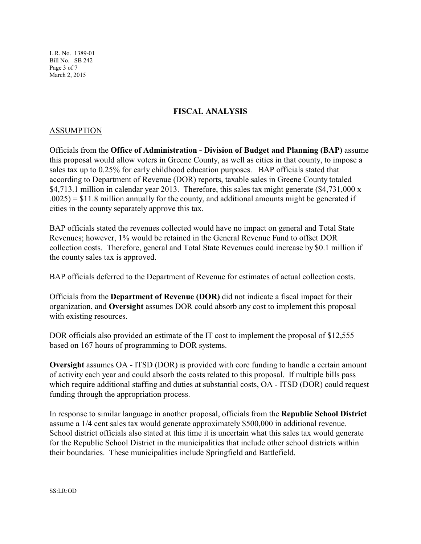L.R. No. 1389-01 Bill No. SB 242 Page 3 of 7 March 2, 2015

# **FISCAL ANALYSIS**

### ASSUMPTION

Officials from the **Office of Administration - Division of Budget and Planning (BAP)** assume this proposal would allow voters in Greene County, as well as cities in that county, to impose a sales tax up to 0.25% for early childhood education purposes. BAP officials stated that according to Department of Revenue (DOR) reports, taxable sales in Greene County totaled \$4,713.1 million in calendar year 2013. Therefore, this sales tax might generate (\$4,731,000 x  $.0025$ ) = \$11.8 million annually for the county, and additional amounts might be generated if cities in the county separately approve this tax.

BAP officials stated the revenues collected would have no impact on general and Total State Revenues; however, 1% would be retained in the General Revenue Fund to offset DOR collection costs. Therefore, general and Total State Revenues could increase by \$0.1 million if the county sales tax is approved.

BAP officials deferred to the Department of Revenue for estimates of actual collection costs.

Officials from the **Department of Revenue (DOR)** did not indicate a fiscal impact for their organization, and **Oversight** assumes DOR could absorb any cost to implement this proposal with existing resources.

DOR officials also provided an estimate of the IT cost to implement the proposal of \$12,555 based on 167 hours of programming to DOR systems.

**Oversight** assumes OA - ITSD (DOR) is provided with core funding to handle a certain amount of activity each year and could absorb the costs related to this proposal. If multiple bills pass which require additional staffing and duties at substantial costs, OA - ITSD (DOR) could request funding through the appropriation process.

In response to similar language in another proposal, officials from the **Republic School District** assume a 1/4 cent sales tax would generate approximately \$500,000 in additional revenue. School district officials also stated at this time it is uncertain what this sales tax would generate for the Republic School District in the municipalities that include other school districts within their boundaries. These municipalities include Springfield and Battlefield.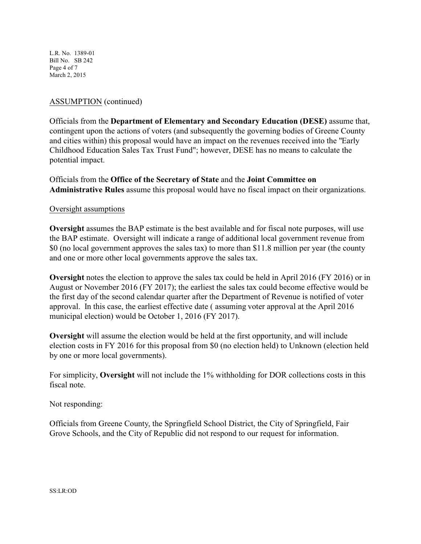L.R. No. 1389-01 Bill No. SB 242 Page 4 of 7 March 2, 2015

## ASSUMPTION (continued)

Officials from the **Department of Elementary and Secondary Education (DESE)** assume that, contingent upon the actions of voters (and subsequently the governing bodies of Greene County and cities within) this proposal would have an impact on the revenues received into the "Early Childhood Education Sales Tax Trust Fund"; however, DESE has no means to calculate the potential impact.

Officials from the **Office of the Secretary of State** and the **Joint Committee on Administrative Rules** assume this proposal would have no fiscal impact on their organizations.

#### Oversight assumptions

**Oversight** assumes the BAP estimate is the best available and for fiscal note purposes, will use the BAP estimate. Oversight will indicate a range of additional local government revenue from \$0 (no local government approves the sales tax) to more than \$11.8 million per year (the county and one or more other local governments approve the sales tax.

**Oversight** notes the election to approve the sales tax could be held in April 2016 (FY 2016) or in August or November 2016 (FY 2017); the earliest the sales tax could become effective would be the first day of the second calendar quarter after the Department of Revenue is notified of voter approval. In this case, the earliest effective date ( assuming voter approval at the April 2016 municipal election) would be October 1, 2016 (FY 2017).

**Oversight** will assume the election would be held at the first opportunity, and will include election costs in FY 2016 for this proposal from \$0 (no election held) to Unknown (election held by one or more local governments).

For simplicity, **Oversight** will not include the 1% withholding for DOR collections costs in this fiscal note.

Not responding:

Officials from Greene County, the Springfield School District, the City of Springfield, Fair Grove Schools, and the City of Republic did not respond to our request for information.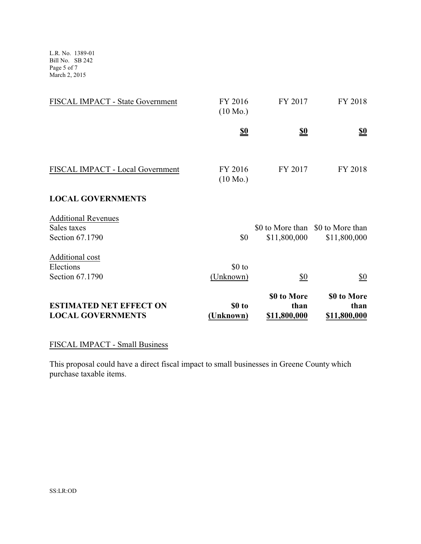L.R. No. 1389-01 Bill No. SB 242 Page 5 of 7 March 2, 2015

| FISCAL IMPACT - State Government                             | FY 2016<br>$(10 \text{ Mo.})$ | FY 2017                             | FY 2018                                           |
|--------------------------------------------------------------|-------------------------------|-------------------------------------|---------------------------------------------------|
|                                                              | <u>\$0</u>                    | $\underline{\underline{\$0}}$       | $\underline{\underline{\$0}}$                     |
| FISCAL IMPACT - Local Government                             | FY 2016<br>$(10 \text{ Mo.})$ | FY 2017                             | FY 2018                                           |
| <b>LOCAL GOVERNMENTS</b>                                     |                               |                                     |                                                   |
| <b>Additional Revenues</b><br>Sales taxes<br>Section 67.1790 | \$0                           | \$11,800,000                        | \$0 to More than \$0 to More than<br>\$11,800,000 |
| Additional cost<br>Elections<br>Section 67.1790              | \$0 to<br>(Unknown)           | \$0                                 | \$0                                               |
| <b>ESTIMATED NET EFFECT ON</b><br><b>LOCAL GOVERNMENTS</b>   | \$0 to<br>(Unknown)           | \$0 to More<br>than<br>\$11,800,000 | \$0 to More<br>than<br>\$11,800,000               |

## FISCAL IMPACT - Small Business

This proposal could have a direct fiscal impact to small businesses in Greene County which purchase taxable items.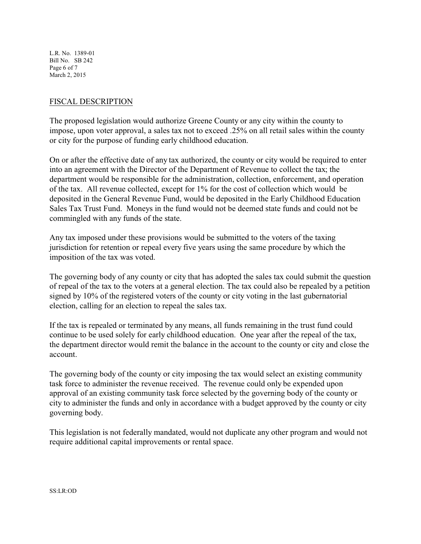L.R. No. 1389-01 Bill No. SB 242 Page 6 of 7 March 2, 2015

### FISCAL DESCRIPTION

The proposed legislation would authorize Greene County or any city within the county to impose, upon voter approval, a sales tax not to exceed .25% on all retail sales within the county or city for the purpose of funding early childhood education.

On or after the effective date of any tax authorized, the county or city would be required to enter into an agreement with the Director of the Department of Revenue to collect the tax; the department would be responsible for the administration, collection, enforcement, and operation of the tax. All revenue collected, except for 1% for the cost of collection which would be deposited in the General Revenue Fund, would be deposited in the Early Childhood Education Sales Tax Trust Fund. Moneys in the fund would not be deemed state funds and could not be commingled with any funds of the state.

Any tax imposed under these provisions would be submitted to the voters of the taxing jurisdiction for retention or repeal every five years using the same procedure by which the imposition of the tax was voted.

The governing body of any county or city that has adopted the sales tax could submit the question of repeal of the tax to the voters at a general election. The tax could also be repealed by a petition signed by 10% of the registered voters of the county or city voting in the last gubernatorial election, calling for an election to repeal the sales tax.

If the tax is repealed or terminated by any means, all funds remaining in the trust fund could continue to be used solely for early childhood education. One year after the repeal of the tax, the department director would remit the balance in the account to the county or city and close the account.

The governing body of the county or city imposing the tax would select an existing community task force to administer the revenue received. The revenue could only be expended upon approval of an existing community task force selected by the governing body of the county or city to administer the funds and only in accordance with a budget approved by the county or city governing body.

This legislation is not federally mandated, would not duplicate any other program and would not require additional capital improvements or rental space.